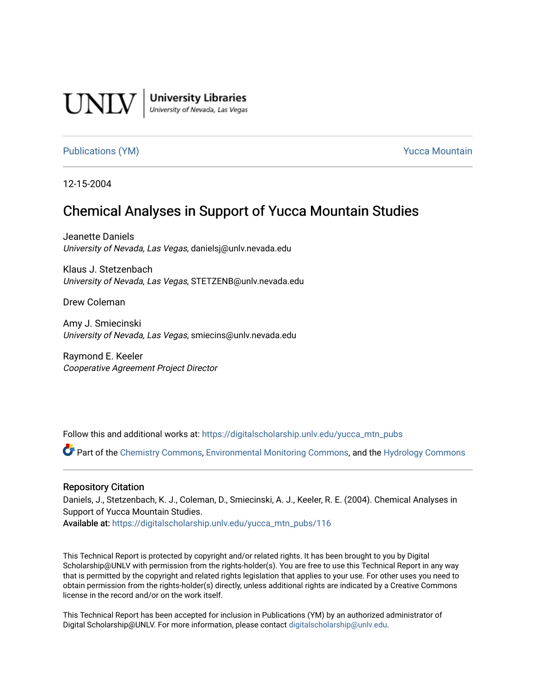

**University Libraries**<br>University of Nevada, Las Vegas

#### [Publications \(YM\)](https://digitalscholarship.unlv.edu/yucca_mtn_pubs) **Publications (YM) Publications (YM) Publications** (*YM*)

12-15-2004

# Chemical Analyses in Support of Yucca Mountain Studies

Jeanette Daniels University of Nevada, Las Vegas, danielsj@unlv.nevada.edu

Klaus J. Stetzenbach University of Nevada, Las Vegas, STETZENB@unlv.nevada.edu

Drew Coleman

Amy J. Smiecinski University of Nevada, Las Vegas, smiecins@unlv.nevada.edu

Raymond E. Keeler Cooperative Agreement Project Director

Follow this and additional works at: [https://digitalscholarship.unlv.edu/yucca\\_mtn\\_pubs](https://digitalscholarship.unlv.edu/yucca_mtn_pubs?utm_source=digitalscholarship.unlv.edu%2Fyucca_mtn_pubs%2F116&utm_medium=PDF&utm_campaign=PDFCoverPages)

Part of the [Chemistry Commons,](http://network.bepress.com/hgg/discipline/131?utm_source=digitalscholarship.unlv.edu%2Fyucca_mtn_pubs%2F116&utm_medium=PDF&utm_campaign=PDFCoverPages) [Environmental Monitoring Commons](http://network.bepress.com/hgg/discipline/931?utm_source=digitalscholarship.unlv.edu%2Fyucca_mtn_pubs%2F116&utm_medium=PDF&utm_campaign=PDFCoverPages), and the [Hydrology Commons](http://network.bepress.com/hgg/discipline/1054?utm_source=digitalscholarship.unlv.edu%2Fyucca_mtn_pubs%2F116&utm_medium=PDF&utm_campaign=PDFCoverPages) 

#### Repository Citation

Daniels, J., Stetzenbach, K. J., Coleman, D., Smiecinski, A. J., Keeler, R. E. (2004). Chemical Analyses in Support of Yucca Mountain Studies.

Available at: [https://digitalscholarship.unlv.edu/yucca\\_mtn\\_pubs/116](https://digitalscholarship.unlv.edu/yucca_mtn_pubs/116) 

This Technical Report is protected by copyright and/or related rights. It has been brought to you by Digital Scholarship@UNLV with permission from the rights-holder(s). You are free to use this Technical Report in any way that is permitted by the copyright and related rights legislation that applies to your use. For other uses you need to obtain permission from the rights-holder(s) directly, unless additional rights are indicated by a Creative Commons license in the record and/or on the work itself.

This Technical Report has been accepted for inclusion in Publications (YM) by an authorized administrator of Digital Scholarship@UNLV. For more information, please contact [digitalscholarship@unlv.edu](mailto:digitalscholarship@unlv.edu).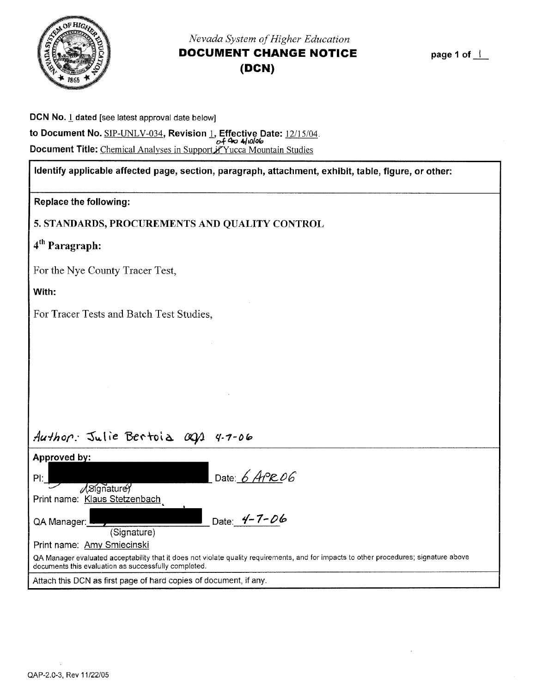<span id="page-1-0"></span>

# *Nevada System of Higher Education*  **DOCUMENT CHANGE NOTICE (DCN)**

page 1 of  $\perp$ 

| DCN No. 1 dated [see latest approval date below]                                                                      |
|-----------------------------------------------------------------------------------------------------------------------|
| to Document No. <u>SIP-UNLV-034,</u> Revision <u>1,</u> Effective Date: <u>12/15/04</u> .<br>o <del>f 4º</del> 4/0/06 |
| <b>Document Title:</b> Chemical Analyses in Support Pyucca Mountain Studies                                           |

## Identify applicable affected page, section, paragraph, attachment, exhibit, table, figure, or other:

|  | <b>Replace the following:</b> |
|--|-------------------------------|
|--|-------------------------------|

5. STANDARDS, PROCUREMENTS AND QUALITY CONTROL

4th Paragraph:

For the Nye County Tracer Test,

With:

For Tracer Tests and Batch Test Studies,

# Author: Julie Bertoia ags 4.7-06

| Approved by:                                                                                                                                                                                   |                    |  |  |
|------------------------------------------------------------------------------------------------------------------------------------------------------------------------------------------------|--------------------|--|--|
| $PL_$<br>$\sqrt{3}$ gnature                                                                                                                                                                    | Date: $6$ APR 06   |  |  |
| Print name: Klaus Stetzenbach                                                                                                                                                                  |                    |  |  |
| QA Manager: L<br>(Signature)                                                                                                                                                                   | Date: $4 - 7 - 06$ |  |  |
| Print name: Amy Smiecinski                                                                                                                                                                     |                    |  |  |
| QA Manager evaluated acceptability that it does not violate quality requirements, and for impacts to other procedures; signature above<br>documents this evaluation as successfully completed. |                    |  |  |
| Attach this DCN as first page of hard copies of document, if any.                                                                                                                              |                    |  |  |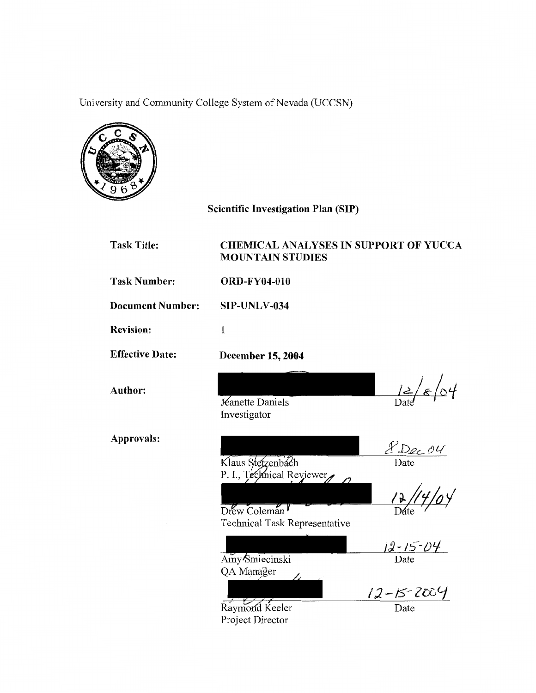University and Community College System of Nevada (UCCSN)



# Scientific Investigation Plan (SIP)

| <b>Task Title:</b>      | <b>CHEMICAL ANALYSES IN SUPPORT OF YUCCA</b><br><b>MOUNTAIN STUDIES</b>                         |                                                                            |
|-------------------------|-------------------------------------------------------------------------------------------------|----------------------------------------------------------------------------|
| <b>Task Number:</b>     | <b>ORD-FY04-010</b>                                                                             |                                                                            |
| <b>Document Number:</b> | SIP-UNLV-034                                                                                    |                                                                            |
| <b>Revision:</b>        | $\mathbf 1$                                                                                     |                                                                            |
| <b>Effective Date:</b>  | December 15, 2004                                                                               |                                                                            |
| Author:                 | Jéanette Daniels<br>Investigator                                                                | $\frac{12}{8}$                                                             |
| Approvals:              | Klaus Stetzenbach<br>P. I., Technical Reviewer<br>Drew Coleman<br>Technical Task Representative | 8 Dec 04<br>12,                                                            |
|                         | Amy Smiecinski<br>QA Manager<br>Raymond Keeler<br>Project Director                              | $\frac{j2 - 15 - 04}{\text{Date}}$<br>$\frac{12 - 15 - 2004}{\text{Date}}$ |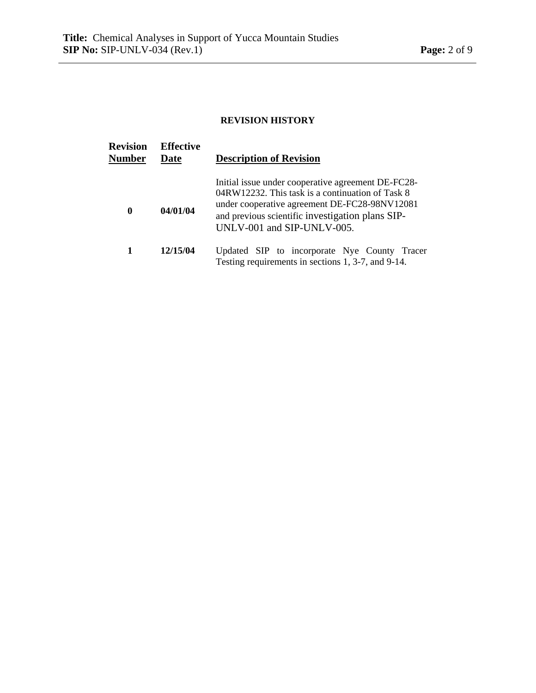### **REVISION HISTORY**

| <b>Revision</b><br>Number | <b>Effective</b><br>Date | <b>Description of Revision</b>                                                                                                                                                                                                            |
|---------------------------|--------------------------|-------------------------------------------------------------------------------------------------------------------------------------------------------------------------------------------------------------------------------------------|
| $\bf{0}$                  | 04/01/04                 | Initial issue under cooperative agreement DE-FC28-<br>04RW12232. This task is a continuation of Task 8<br>under cooperative agreement DE-FC28-98NV12081<br>and previous scientific investigation plans SIP-<br>UNLV-001 and SIP-UNLV-005. |
| 1                         | 12/15/04                 | Updated SIP to incorporate Nye County Tracer<br>Testing requirements in sections 1, 3-7, and 9-14.                                                                                                                                        |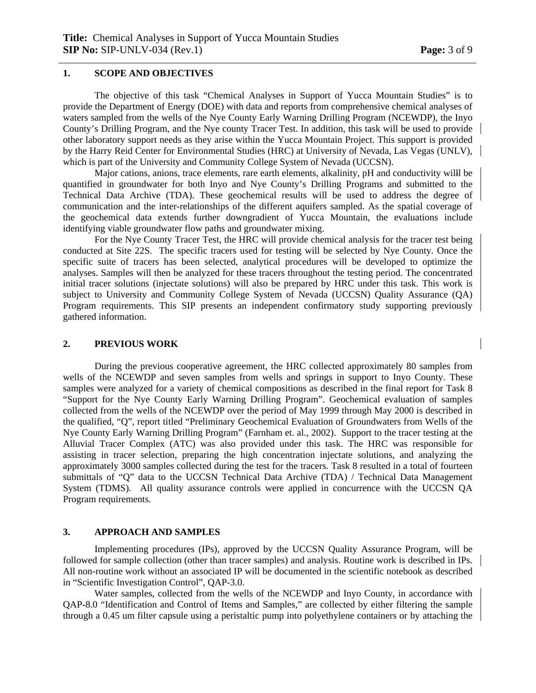#### **1. SCOPE AND OBJECTIVES**

 The objective of this task "Chemical Analyses in Support of Yucca Mountain Studies" is to provide the Department of Energy (DOE) with data and reports from comprehensive chemical analyses of waters sampled from the wells of the Nye County Early Warning Drilling Program (NCEWDP), the Inyo County's Drilling Program, and the Nye county Tracer Test. In addition, this task will be used to provide other laboratory support needs as they arise within the Yucca Mountain Project. This support is provided by the Harry Reid Center for Environmental Studies (HRC) at University of Nevada, Las Vegas (UNLV), which is part of the University and Community College System of Nevada (UCCSN).

Major cations, anions, trace elements, rare earth elements, alkalinity, pH and conductivity willl be quantified in groundwater for both Inyo and Nye County's Drilling Programs and submitted to the Technical Data Archive (TDA). These geochemical results will be used to address the degree of communication and the inter-relationships of the different aquifers sampled. As the spatial coverage of the geochemical data extends further downgradient of Yucca Mountain, the evaluations include identifying viable groundwater flow paths and groundwater mixing.

For the Nye County Tracer Test, the HRC will provide chemical analysis for the tracer test being conducted at Site 22S. The specific tracers used for testing will be selected by Nye County. Once the specific suite of tracers has been selected, analytical procedures will be developed to optimize the analyses. Samples will then be analyzed for these tracers throughout the testing period. The concentrated initial tracer solutions (injectate solutions) will also be prepared by HRC under this task. This work is subject to University and Community College System of Nevada (UCCSN) Quality Assurance (QA) Program requirements. This SIP presents an independent confirmatory study supporting previously gathered information.

#### **2. PREVIOUS WORK**

During the previous cooperative agreement, the HRC collected approximately 80 samples from wells of the NCEWDP and seven samples from wells and springs in support to Inyo County. These samples were analyzed for a variety of chemical compositions as described in the final report for Task 8 "Support for the Nye County Early Warning Drilling Program". Geochemical evaluation of samples collected from the wells of the NCEWDP over the period of May 1999 through May 2000 is described in the qualified, "Q", report titled "Preliminary Geochemical Evaluation of Groundwaters from Wells of the Nye County Early Warning Drilling Program" (Farnham et. al., 2002). Support to the tracer testing at the Alluvial Tracer Complex (ATC) was also provided under this task. The HRC was responsible for assisting in tracer selection, preparing the high concentration injectate solutions, and analyzing the approximately 3000 samples collected during the test for the tracers. Task 8 resulted in a total of fourteen submittals of "Q" data to the UCCSN Technical Data Archive (TDA) / Technical Data Management System (TDMS). All quality assurance controls were applied in concurrence with the UCCSN QA Program requirements.

#### **3. APPROACH AND SAMPLES**

Implementing procedures (IPs), approved by the UCCSN Quality Assurance Program, will be followed for sample collection (other than tracer samples) and analysis. Routine work is described in IPs. All non-routine work without an associated IP will be documented in the scientific notebook as described in "Scientific Investigation Control", QAP-3.0.

 Water samples, collected from the wells of the NCEWDP and Inyo County, in accordance with QAP-8.0 "Identification and Control of Items and Samples," are collected by either filtering the sample through a 0.45 um filter capsule using a peristaltic pump into polyethylene containers or by attaching the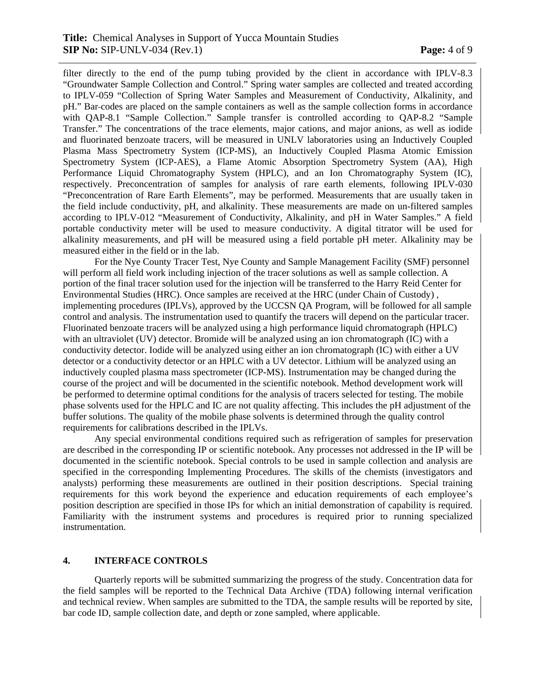filter directly to the end of the pump tubing provided by the client in accordance with IPLV-8.3 "Groundwater Sample Collection and Control." Spring water samples are collected and treated according to IPLV-059 "Collection of Spring Water Samples and Measurement of Conductivity, Alkalinity, and pH." Bar codes are placed on the sample containers as well as the sample collection forms in accordance with QAP-8.1 "Sample Collection." Sample transfer is controlled according to QAP-8.2 "Sample Transfer." The concentrations of the trace elements, major cations, and major anions, as well as iodide and fluorinated benzoate tracers, will be measured in UNLV laboratories using an Inductively Coupled Plasma Mass Spectrometry System (ICP-MS), an Inductively Coupled Plasma Atomic Emission Spectrometry System (ICP-AES), a Flame Atomic Absorption Spectrometry System (AA), High Performance Liquid Chromatography System (HPLC), and an Ion Chromatography System (IC), respectively. Preconcentration of samples for analysis of rare earth elements, following IPLV-030 "Preconcentration of Rare Earth Elements", may be performed. Measurements that are usually taken in the field include conductivity, pH, and alkalinity. These measurements are made on un-filtered samples according to IPLV-012 "Measurement of Conductivity, Alkalinity, and pH in Water Samples." A field portable conductivity meter will be used to measure conductivity. A digital titrator will be used for alkalinity measurements, and pH will be measured using a field portable pH meter. Alkalinity may be measured either in the field or in the lab.

 For the Nye County Tracer Test, Nye County and Sample Management Facility (SMF) personnel will perform all field work including injection of the tracer solutions as well as sample collection. A portion of the final tracer solution used for the injection will be transferred to the Harry Reid Center for Environmental Studies (HRC). Once samples are received at the HRC (under Chain of Custody) , implementing procedures (IPLVs), approved by the UCCSN QA Program, will be followed for all sample control and analysis. The instrumentation used to quantify the tracers will depend on the particular tracer. Fluorinated benzoate tracers will be analyzed using a high performance liquid chromatograph (HPLC) with an ultraviolet (UV) detector. Bromide will be analyzed using an ion chromatograph (IC) with a conductivity detector. Iodide will be analyzed using either an ion chromatograph (IC) with either a UV detector or a conductivity detector or an HPLC with a UV detector. Lithium will be analyzed using an inductively coupled plasma mass spectrometer (ICP-MS). Instrumentation may be changed during the course of the project and will be documented in the scientific notebook. Method development work will be performed to determine optimal conditions for the analysis of tracers selected for testing. The mobile phase solvents used for the HPLC and IC are not quality affecting. This includes the pH adjustment of the buffer solutions. The quality of the mobile phase solvents is determined through the quality control requirements for calibrations described in the IPLVs.

 Any special environmental conditions required such as refrigeration of samples for preservation are described in the corresponding IP or scientific notebook. Any processes not addressed in the IP will be documented in the scientific notebook. Special controls to be used in sample collection and analysis are specified in the corresponding Implementing Procedures. The skills of the chemists (investigators and analysts) performing these measurements are outlined in their position descriptions. Special training requirements for this work beyond the experience and education requirements of each employee's position description are specified in those IPs for which an initial demonstration of capability is required. Familiarity with the instrument systems and procedures is required prior to running specialized instrumentation.

#### **4. INTERFACE CONTROLS**

 Quarterly reports will be submitted summarizing the progress of the study. Concentration data for the field samples will be reported to the Technical Data Archive (TDA) following internal verification and technical review. When samples are submitted to the TDA, the sample results will be reported by site, bar code ID, sample collection date, and depth or zone sampled, where applicable.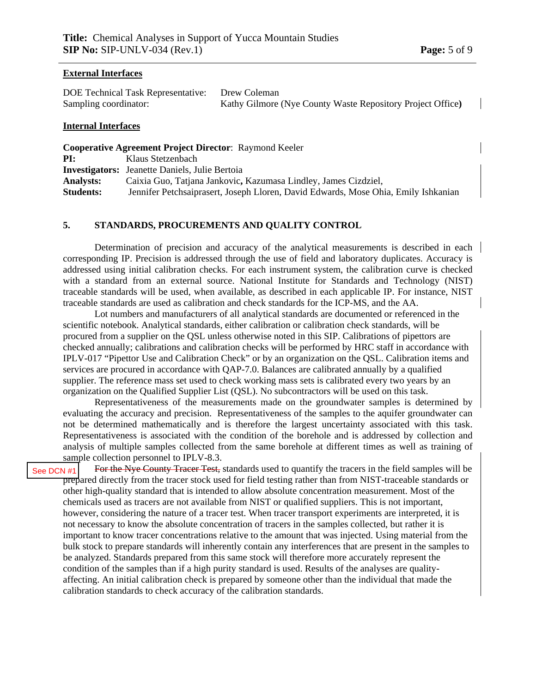#### **External Interfaces**

DOE Technical Task Representative: Drew Coleman Sampling coordinator: Kathy Gilmore (Nye County Waste Repository Project Office**)** 

#### **Internal Interfaces**

**Cooperative Agreement Project Director**: Raymond Keeler **PI:** Klaus Stetzenbach **Investigators:** Jeanette Daniels, Julie Bertoia **Analysts:** Caixia Guo, Tatjana Jankovic**,** Kazumasa Lindley, James Cizdziel, **Students:** Jennifer Petchsaiprasert, Joseph Lloren, David Edwards, Mose Ohia, Emily Ishkanian

#### **5. STANDARDS, PROCUREMENTS AND QUALITY CONTROL**

 Determination of precision and accuracy of the analytical measurements is described in each corresponding IP. Precision is addressed through the use of field and laboratory duplicates. Accuracy is addressed using initial calibration checks. For each instrument system, the calibration curve is checked with a standard from an external source. National Institute for Standards and Technology (NIST) traceable standards will be used, when available, as described in each applicable IP. For instance, NIST traceable standards are used as calibration and check standards for the ICP-MS, and the AA.

Lot numbers and manufacturers of all analytical standards are documented or referenced in the scientific notebook. Analytical standards, either calibration or calibration check standards, will be procured from a supplier on the QSL unless otherwise noted in this SIP. Calibrations of pipettors are checked annually; calibrations and calibration checks will be performed by HRC staff in accordance with IPLV-017 "Pipettor Use and Calibration Check" or by an organization on the QSL. Calibration items and services are procured in accordance with QAP-7.0. Balances are calibrated annually by a qualified supplier. The reference mass set used to check working mass sets is calibrated every two years by an organization on the Qualified Supplier List (QSL). No subcontractors will be used on this task.

 Representativeness of the measurements made on the groundwater samples is determined by evaluating the accuracy and precision. Representativeness of the samples to the aquifer groundwater can not be determined mathematically and is therefore the largest uncertainty associated with this task. Representativeness is associated with the condition of the borehole and is addressed by collection and analysis of multiple samples collected from the same borehole at different times as well as training of sample collection personnel to IPLV-8.3.

For the Nye County Tracer Test, standards used to quantify the tracers in the field samples will be prepared directly from the tracer stock used for field testing rather than from NIST-traceable standards or other high-quality standard that is intended to allow absolute concentration measurement. Most of the chemicals used as tracers are not available from NIST or qualified suppliers. This is not important, however, considering the nature of a tracer test. When tracer transport experiments are interpreted, it is not necessary to know the absolute concentration of tracers in the samples collected, but rather it is important to know tracer concentrations relative to the amount that was injected. Using material from the bulk stock to prepare standards will inherently contain any interferences that are present in the samples to be analyzed. Standards prepared from this same stock will therefore more accurately represent the condition of the samples than if a high purity standard is used. Results of the analyses are qualityaffecting. An initial calibration check is prepared by someone other than the individual that made the calibration standards to check accuracy of the calibration standards. [See DCN #1](#page-1-0)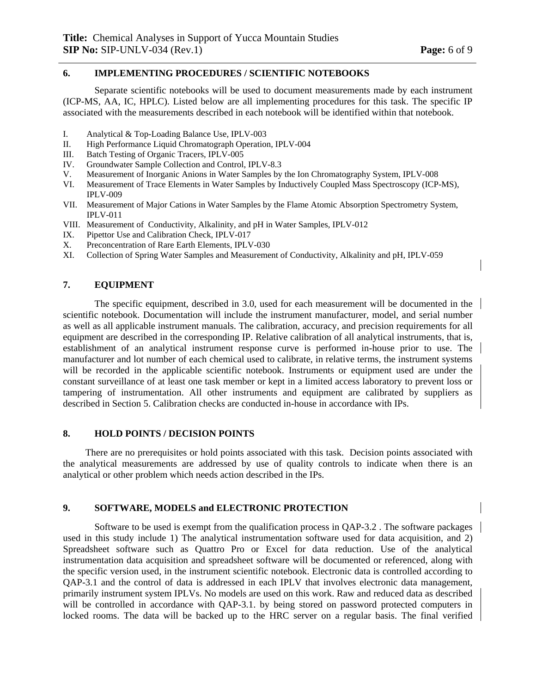#### **6. IMPLEMENTING PROCEDURES / SCIENTIFIC NOTEBOOKS**

 Separate scientific notebooks will be used to document measurements made by each instrument (ICP-MS, AA, IC, HPLC). Listed below are all implementing procedures for this task. The specific IP associated with the measurements described in each notebook will be identified within that notebook.

- I. Analytical & Top-Loading Balance Use, IPLV-003
- II. High Performance Liquid Chromatograph Operation, IPLV-004
- III. Batch Testing of Organic Tracers, IPLV-005
- IV. Groundwater Sample Collection and Control, IPLV-8.3
- V. Measurement of Inorganic Anions in Water Samples by the Ion Chromatography System, IPLV-008
- VI. Measurement of Trace Elements in Water Samples by Inductively Coupled Mass Spectroscopy (ICP-MS), IPLV-009
- VII. Measurement of Major Cations in Water Samples by the Flame Atomic Absorption Spectrometry System, IPLV-011
- VIII. Measurement of Conductivity, Alkalinity, and pH in Water Samples, IPLV-012
- IX. Pipettor Use and Calibration Check, IPLV-017
- X. Preconcentration of Rare Earth Elements, IPLV-030
- XI. Collection of Spring Water Samples and Measurement of Conductivity, Alkalinity and pH, IPLV-059

#### **7. EQUIPMENT**

 The specific equipment, described in 3.0, used for each measurement will be documented in the scientific notebook. Documentation will include the instrument manufacturer, model, and serial number as well as all applicable instrument manuals. The calibration, accuracy, and precision requirements for all equipment are described in the corresponding IP. Relative calibration of all analytical instruments, that is, establishment of an analytical instrument response curve is performed in-house prior to use. The manufacturer and lot number of each chemical used to calibrate, in relative terms, the instrument systems will be recorded in the applicable scientific notebook. Instruments or equipment used are under the constant surveillance of at least one task member or kept in a limited access laboratory to prevent loss or tampering of instrumentation. All other instruments and equipment are calibrated by suppliers as described in Section 5. Calibration checks are conducted in-house in accordance with IPs.

#### **8. HOLD POINTS / DECISION POINTS**

 There are no prerequisites or hold points associated with this task. Decision points associated with the analytical measurements are addressed by use of quality controls to indicate when there is an analytical or other problem which needs action described in the IPs.

#### **9. SOFTWARE, MODELS and ELECTRONIC PROTECTION**

Software to be used is exempt from the qualification process in QAP-3.2 . The software packages used in this study include 1) The analytical instrumentation software used for data acquisition, and 2) Spreadsheet software such as Quattro Pro or Excel for data reduction. Use of the analytical instrumentation data acquisition and spreadsheet software will be documented or referenced, along with the specific version used, in the instrument scientific notebook. Electronic data is controlled according to QAP-3.1 and the control of data is addressed in each IPLV that involves electronic data management, primarily instrument system IPLVs. No models are used on this work. Raw and reduced data as described will be controlled in accordance with QAP-3.1. by being stored on password protected computers in locked rooms. The data will be backed up to the HRC server on a regular basis. The final verified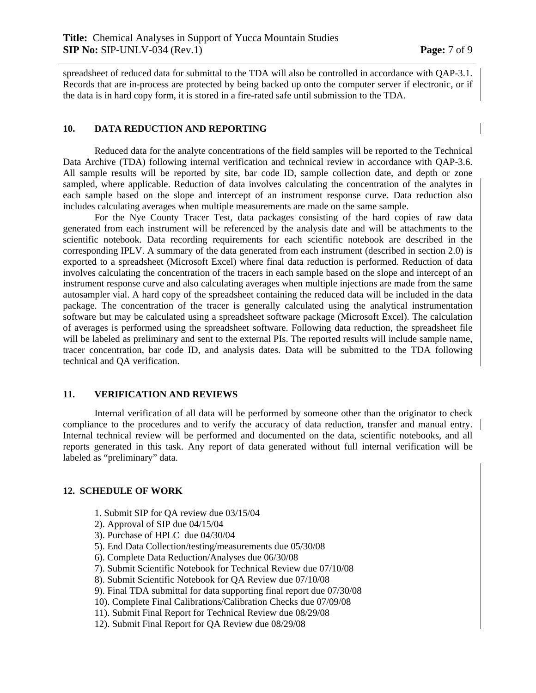spreadsheet of reduced data for submittal to the TDA will also be controlled in accordance with QAP-3.1. Records that are in-process are protected by being backed up onto the computer server if electronic, or if the data is in hard copy form, it is stored in a fire-rated safe until submission to the TDA.

#### **10. DATA REDUCTION AND REPORTING**

 Reduced data for the analyte concentrations of the field samples will be reported to the Technical Data Archive (TDA) following internal verification and technical review in accordance with QAP-3.6. All sample results will be reported by site, bar code ID, sample collection date, and depth or zone sampled, where applicable. Reduction of data involves calculating the concentration of the analytes in each sample based on the slope and intercept of an instrument response curve. Data reduction also includes calculating averages when multiple measurements are made on the same sample.

 For the Nye County Tracer Test, data packages consisting of the hard copies of raw data generated from each instrument will be referenced by the analysis date and will be attachments to the scientific notebook. Data recording requirements for each scientific notebook are described in the corresponding IPLV. A summary of the data generated from each instrument (described in section 2.0) is exported to a spreadsheet (Microsoft Excel) where final data reduction is performed. Reduction of data involves calculating the concentration of the tracers in each sample based on the slope and intercept of an instrument response curve and also calculating averages when multiple injections are made from the same autosampler vial. A hard copy of the spreadsheet containing the reduced data will be included in the data package. The concentration of the tracer is generally calculated using the analytical instrumentation software but may be calculated using a spreadsheet software package (Microsoft Excel). The calculation of averages is performed using the spreadsheet software. Following data reduction, the spreadsheet file will be labeled as preliminary and sent to the external PIs. The reported results will include sample name, tracer concentration, bar code ID, and analysis dates. Data will be submitted to the TDA following technical and QA verification.

#### **11. VERIFICATION AND REVIEWS**

 Internal verification of all data will be performed by someone other than the originator to check compliance to the procedures and to verify the accuracy of data reduction, transfer and manual entry. Internal technical review will be performed and documented on the data, scientific notebooks, and all reports generated in this task. Any report of data generated without full internal verification will be labeled as "preliminary" data.

#### **12. SCHEDULE OF WORK**

- 1. Submit SIP for QA review due 03/15/04
- 2). Approval of SIP due 04/15/04
- 3). Purchase of HPLC due 04/30/04
- 5). End Data Collection/testing/measurements due 05/30/08
- 6). Complete Data Reduction/Analyses due 06/30/08
- 7). Submit Scientific Notebook for Technical Review due 07/10/08
- 8). Submit Scientific Notebook for QA Review due 07/10/08
- 9). Final TDA submittal for data supporting final report due 07/30/08
- 10). Complete Final Calibrations/Calibration Checks due 07/09/08
- 11). Submit Final Report for Technical Review due 08/29/08
- 12). Submit Final Report for QA Review due 08/29/08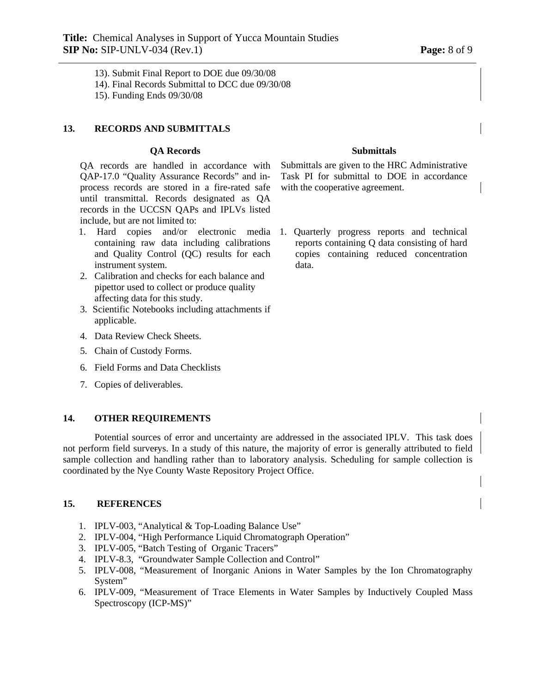13). Submit Final Report to DOE due 09/30/08

14). Final Records Submittal to DCC due 09/30/08

15). Funding Ends 09/30/08

#### **13. RECORDS AND SUBMITTALS**

#### **QA Records Submittals**

QA records are handled in accordance with QAP-17.0 "Quality Assurance Records" and inprocess records are stored in a fire-rated safe until transmittal. Records designated as QA records in the UCCSN QAPs and IPLVs listed include, but are not limited to:

- 1. Hard copies and/or electronic media containing raw data including calibrations and Quality Control (QC) results for each instrument system.
- 2. Calibration and checks for each balance and pipettor used to collect or produce quality affecting data for this study.
- 3. Scientific Notebooks including attachments if applicable.
- 4. Data Review Check Sheets.
- 5. Chain of Custody Forms.
- 6. Field Forms and Data Checklists
- 7. Copies of deliverables.

#### **14. OTHER REQUIREMENTS**

Potential sources of error and uncertainty are addressed in the associated IPLV. This task does not perform field surverys. In a study of this nature, the majority of error is generally attributed to field sample collection and handling rather than to laboratory analysis. Scheduling for sample collection is coordinated by the Nye County Waste Repository Project Office.

#### **15. REFERENCES**

- 1. IPLV-003, "Analytical & Top-Loading Balance Use"
- 2. IPLV-004, "High Performance Liquid Chromatograph Operation"
- 3. IPLV-005, "Batch Testing of Organic Tracers"
- 4. IPLV-8.3, "Groundwater Sample Collection and Control"
- 5. IPLV-008, "Measurement of Inorganic Anions in Water Samples by the Ion Chromatography System"
- 6. IPLV-009, "Measurement of Trace Elements in Water Samples by Inductively Coupled Mass Spectroscopy (ICP-MS)"

Submittals are given to the HRC Administrative Task PI for submittal to DOE in accordance with the cooperative agreement.

1. Quarterly progress reports and technical reports containing Q data consisting of hard copies containing reduced concentration data.